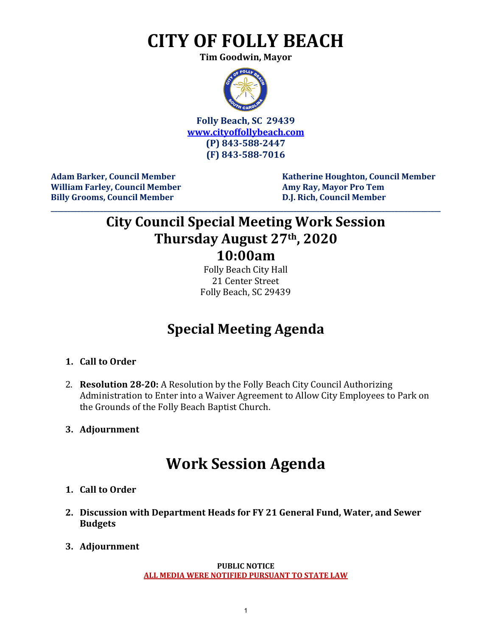# **CITY OF FOLLY BEACH**

**Tim Goodwin, Mayor**



**Folly Beach, SC 29439 [www.cityoffollybeach.com](http://www.cityoffollybeach.com/) (P) 843-588-2447 (F) 843-588-7016**

William Farley, Council Member **Amy Ray, Mayor Pro Tem Billy Grooms, Council Member D.J. Rich, Council Member**

Adam Barker, Council Member **Katherine Houghton, Council Member** 

### **City Council Special Meeting Work Session Thursday August 27th, 2020 10:00am**

**\_\_\_\_\_\_\_\_\_\_\_\_\_\_\_\_\_\_\_\_\_\_\_\_\_\_\_\_\_\_\_\_\_\_\_\_\_\_\_\_\_\_\_\_\_\_\_\_\_\_\_\_\_\_\_\_\_\_\_\_\_\_\_\_\_\_\_\_\_\_\_\_\_\_\_\_\_\_\_\_\_\_\_\_\_\_\_\_\_\_\_\_\_\_\_\_\_\_\_\_\_\_\_\_\_\_\_\_\_\_\_\_\_\_\_\_\_\_\_**

Folly Beach City Hall 21 Center Street Folly Beach, SC 29439

## **Special Meeting Agenda**

#### **1. Call to Order**

2. **Resolution 28-20:** A Resolution by the Folly Beach City Council Authorizing Administration to Enter into a Waiver Agreement to Allow City Employees to Park on the Grounds of the Folly Beach Baptist Church.

#### **3. Adjournment**

## **Work Session Agenda**

- **1. Call to Order**
- **2. Discussion with Department Heads for FY 21 General Fund, Water, and Sewer Budgets**
- **3. Adjournment**

#### **PUBLIC NOTICE ALL MEDIA WERE NOTIFIED PURSUANT TO STATE LAW**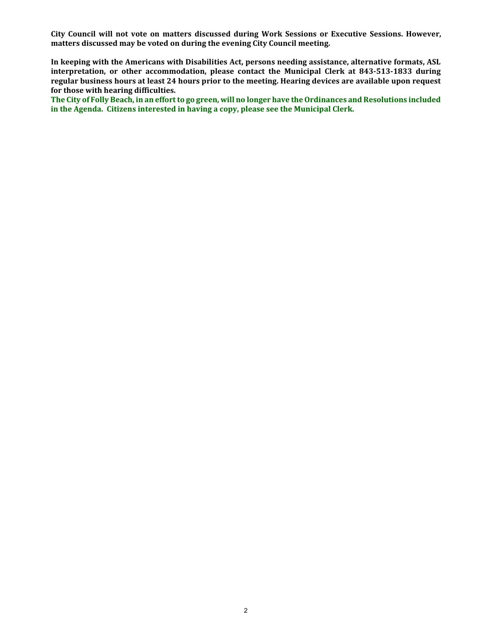**City Council will not vote on matters discussed during Work Sessions or Executive Sessions. However, matters discussed may be voted on during the evening City Council meeting.** 

**In keeping with the Americans with Disabilities Act, persons needing assistance, alternative formats, ASL interpretation, or other accommodation, please contact the Municipal Clerk at 843-513-1833 during regular business hours at least 24 hours prior to the meeting. Hearing devices are available upon request for those with hearing difficulties.**

**The City of Folly Beach, in an effort to go green, will no longer have the Ordinances and Resolutions included in the Agenda. Citizens interested in having a copy, please see the Municipal Clerk.**